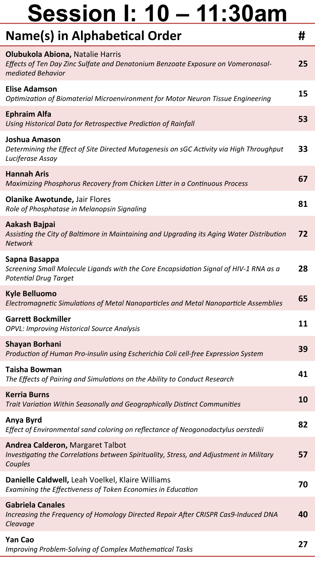| Name(s) in Alphabetical Order                                                                                                             | #  |
|-------------------------------------------------------------------------------------------------------------------------------------------|----|
| Olubukola Abiona, Natalie Harris<br>Effects of Ten Day Zinc Sulfate and Denatonium Benzoate Exposure on Vomeronasal-<br>mediated Behavior | 25 |
| <b>Elise Adamson</b><br>Optimization of Biomaterial Microenvironment for Motor Neuron Tissue Engineering                                  | 15 |
| <b>Ephraim Alfa</b><br>Using Historical Data for Retrospective Prediction of Rainfall                                                     | 53 |
| Joshua Amason<br>Determining the Effect of Site Directed Mutagenesis on sGC Activity via High Throughput<br>Luciferase Assay              | 33 |
| <b>Hannah Aris</b><br>Maximizing Phosphorus Recovery from Chicken Litter in a Continuous Process                                          | 67 |
| <b>Olanike Awotunde, Jair Flores</b><br>Role of Phosphatase in Melanopsin Signaling                                                       | 81 |
| Aakash Bajpai<br>Assisting the City of Baltimore in Maintaining and Upgrading its Aging Water Distribution<br><b>Network</b>              | 72 |
| Sapna Basappa<br>Screening Small Molecule Ligands with the Core Encapsidation Signal of HIV-1 RNA as a<br><b>Potential Drug Target</b>    | 28 |
| <b>Kyle Belluomo</b><br>Electromagnetic Simulations of Metal Nanoparticles and Metal Nanoparticle Assemblies                              | 65 |
| <b>Garrett Bockmiller</b><br>OPVL: Improving Historical Source Analysis                                                                   | 11 |
| <b>Shayan Borhani</b><br>Production of Human Pro-insulin using Escherichia Coli cell-free Expression System                               | 39 |
| Taisha Bowman<br>The Effects of Pairing and Simulations on the Ability to Conduct Research                                                | 41 |
| <b>Kerria Burns</b><br>Trait Variation Within Seasonally and Geographically Distinct Communities                                          | 10 |
| Anya Byrd<br>Effect of Environmental sand coloring on reflectance of Neogonodactylus oerstedii                                            | 82 |
| Andrea Calderon, Margaret Talbot<br>Investigating the Correlations between Spirituality, Stress, and Adjustment in Military<br>Couples    | 57 |
| Danielle Caldwell, Leah Voelkel, Klaire Williams<br>Examining the Effectiveness of Token Economies in Education                           | 70 |
| <b>Gabriela Canales</b><br>Increasing the Frequency of Homology Directed Repair After CRISPR Cas9-Induced DNA<br>Cleavage                 | 40 |
| Yan Cao<br>Improving Problem-Solving of Complex Mathematical Tasks                                                                        | 27 |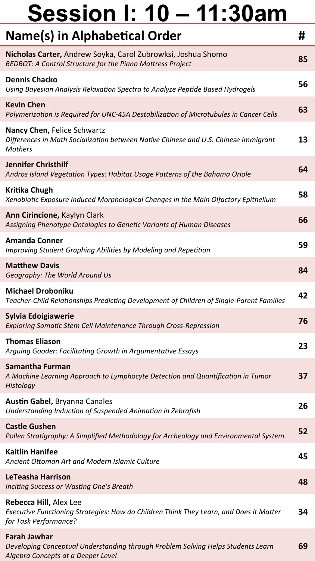| Name(s) in Alphabetical Order                                                                                                                 | #  |
|-----------------------------------------------------------------------------------------------------------------------------------------------|----|
| Nicholas Carter, Andrew Soyka, Carol Zubrowksi, Joshua Shomo<br>BEDBOT: A Control Structure for the Piano Mattress Project                    | 85 |
| <b>Dennis Chacko</b><br>Using Bayesian Analysis Relaxation Spectra to Analyze Peptide Based Hydrogels                                         | 56 |
| <b>Kevin Chen</b><br>Polymerization is Required for UNC-45A Destabilization of Microtubules in Cancer Cells                                   | 63 |
| Nancy Chen, Felice Schwartz<br>Differences in Math Socialization between Native Chinese and U.S. Chinese Immigrant<br><b>Mothers</b>          | 13 |
| <b>Jennifer Christhilf</b><br>Andros Island Vegetation Types: Habitat Usage Patterns of the Bahama Oriole                                     | 64 |
| Kritika Chugh<br>Xenobiotic Exposure Induced Morphological Changes in the Main Olfactory Epithelium                                           | 58 |
| Ann Cirincione, Kaylyn Clark<br>Assigning Phenotype Ontologies to Genetic Variants of Human Diseases                                          | 66 |
| <b>Amanda Conner</b><br>Improving Student Graphing Abilities by Modeling and Repetition                                                       | 59 |
| <b>Matthew Davis</b><br>Geography: The World Around Us                                                                                        | 84 |
| <b>Michael Droboniku</b><br>Teacher-Child Relationships Predicting Development of Children of Single-Parent Families                          | 42 |
| Sylvia Edoigiawerie<br>Exploring Somatic Stem Cell Maintenance Through Cross-Repression                                                       | 76 |
| <b>Thomas Eliason</b><br>Arguing Gooder: Facilitating Growth in Argumentative Essays                                                          | 23 |
| Samantha Furman<br>A Machine Learning Approach to Lymphocyte Detection and Quantification in Tumor<br>Histology                               | 37 |
| <b>Austin Gabel, Bryanna Canales</b><br>Understanding Induction of Suspended Animation in Zebrafish                                           | 26 |
| <b>Castle Gushen</b><br>Pollen Stratigraphy: A Simplified Methodology for Archeology and Environmental System                                 | 52 |
| <b>Kaitlin Hanifee</b><br>Ancient Ottoman Art and Modern Islamic Culture                                                                      | 45 |
| LeTeasha Harrison<br>Inciting Success or Wasting One's Breath                                                                                 | 48 |
| Rebecca Hill, Alex Lee<br>Executive Functioning Strategies: How do Children Think They Learn, and Does it Matter<br>for Task Performance?     | 34 |
| <b>Farah Jawhar</b><br>Developing Conceptual Understanding through Problem Solving Helps Students Learn<br>Algebra Concepts at a Deeper Level | 69 |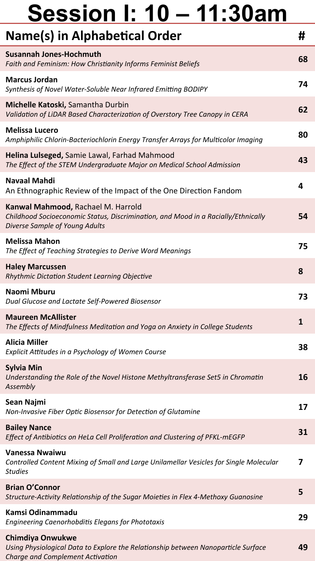| Name(s) in Alphabetical Order                                                                                                                             | #  |
|-----------------------------------------------------------------------------------------------------------------------------------------------------------|----|
| <b>Susannah Jones-Hochmuth</b><br>Faith and Feminism: How Christianity Informs Feminist Beliefs                                                           | 68 |
| <b>Marcus Jordan</b><br>Synthesis of Novel Water-Soluble Near Infrared Emitting BODIPY                                                                    | 74 |
| Michelle Katoski, Samantha Durbin<br>Validation of LiDAR Based Characterization of Overstory Tree Canopy in CERA                                          | 62 |
| <b>Melissa Lucero</b><br>Amphiphilic Chlorin-Bacteriochlorin Energy Transfer Arrays for Multicolor Imaging                                                | 80 |
| Helina Lulseged, Samie Lawal, Farhad Mahmood<br>The Effect of the STEM Undergraduate Major on Medical School Admission                                    | 43 |
| Navaal Mahdi<br>An Ethnographic Review of the Impact of the One Direction Fandom                                                                          | 4  |
| Kanwal Mahmood, Rachael M. Harrold<br>Childhood Socioeconomic Status, Discrimination, and Mood in a Racially/Ethnically<br>Diverse Sample of Young Adults | 54 |
| <b>Melissa Mahon</b><br>The Effect of Teaching Strategies to Derive Word Meanings                                                                         | 75 |
| <b>Haley Marcussen</b><br>Rhythmic Dictation Student Learning Objective                                                                                   | 8  |
| Naomi Mburu<br>Dual Glucose and Lactate Self-Powered Biosensor                                                                                            | 73 |
| <b>Maureen McAllister</b><br>The Effects of Mindfulness Meditation and Yoga on Anxiety in College Students                                                | 1  |
| <b>Alicia Miller</b><br>Explicit Attitudes in a Psychology of Women Course                                                                                | 38 |
| <b>Sylvia Min</b><br>Understanding the Role of the Novel Histone Methyltransferase Set5 in Chromatin<br>Assembly                                          | 16 |
| Sean Najmi<br>Non-Invasive Fiber Optic Biosensor for Detection of Glutamine                                                                               | 17 |
| <b>Bailey Nance</b><br>Effect of Antibiotics on HeLa Cell Proliferation and Clustering of PFKL-mEGFP                                                      | 31 |
| <b>Vanessa Nwaiwu</b><br>Controlled Content Mixing of Small and Large Unilamellar Vesicles for Single Molecular<br><b>Studies</b>                         | 7  |
| <b>Brian O'Connor</b><br>Structure-Activity Relationship of the Sugar Moieties in Flex 4-Methoxy Guanosine                                                | 5  |
| Kamsi Odinammadu<br>Engineering Caenorhobditis Elegans for Phototaxis                                                                                     | 29 |
| <b>Chimdiya Onwukwe</b><br>Using Physiological Data to Explore the Relationship between Nanoparticle Surface<br>Charge and Complement Activation          | 49 |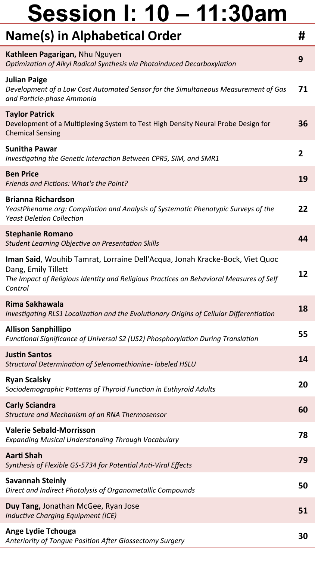| Name(s) in Alphabetical Order                                                                                                                                                                            | #  |
|----------------------------------------------------------------------------------------------------------------------------------------------------------------------------------------------------------|----|
| Kathleen Pagarigan, Nhu Nguyen<br>Optimization of Alkyl Radical Synthesis via Photoinduced Decarboxylation                                                                                               | 9  |
| <b>Julian Paige</b><br>Development of a Low Cost Automated Sensor for the Simultaneous Measurement of Gas<br>and Particle-phase Ammonia                                                                  | 71 |
| <b>Taylor Patrick</b><br>Development of a Multiplexing System to Test High Density Neural Probe Design for<br><b>Chemical Sensing</b>                                                                    | 36 |
| <b>Sunitha Pawar</b><br>Investigating the Genetic Interaction Between CPR5, SIM, and SMR1                                                                                                                | 2  |
| <b>Ben Price</b><br>Friends and Fictions: What's the Point?                                                                                                                                              | 19 |
| <b>Brianna Richardson</b><br>YeastPhenome.org: Compilation and Analysis of Systematic Phenotypic Surveys of the<br><b>Yeast Deletion Collection</b>                                                      | 22 |
| <b>Stephanie Romano</b><br><b>Student Learning Objective on Presentation Skills</b>                                                                                                                      | 44 |
| Iman Said, Wouhib Tamrat, Lorraine Dell'Acqua, Jonah Kracke-Bock, Viet Quoc<br>Dang, Emily Tillett<br>The Impact of Religious Identity and Religious Practices on Behavioral Measures of Self<br>Control | 12 |
| Rima Sakhawala<br>Investigating RLS1 Localization and the Evolutionary Origins of Cellular Differentiation                                                                                               | 18 |
| <b>Allison Sanphillipo</b><br>Functional Significance of Universal S2 (US2) Phosphorylation During Translation                                                                                           | 55 |
| <b>Justin Santos</b><br>Structural Determination of Selenomethionine- labeled HSLU                                                                                                                       | 14 |
| <b>Ryan Scalsky</b><br>Sociodemographic Patterns of Thyroid Function in Euthyroid Adults                                                                                                                 | 20 |
| <b>Carly Sciandra</b><br>Structure and Mechanism of an RNA Thermosensor                                                                                                                                  | 60 |
| <b>Valerie Sebald-Morrisson</b><br><b>Expanding Musical Understanding Through Vocabulary</b>                                                                                                             | 78 |
| <b>Aarti Shah</b><br>Synthesis of Flexible GS-5734 for Potential Anti-Viral Effects                                                                                                                      | 79 |
| <b>Savannah Steinly</b><br>Direct and Indirect Photolysis of Organometallic Compounds                                                                                                                    | 50 |
| Duy Tang, Jonathan McGee, Ryan Jose<br>Inductive Charging Equipment (ICE)                                                                                                                                | 51 |
| <b>Ange Lydie Tchouga</b><br>Anteriority of Tongue Position After Glossectomy Surgery                                                                                                                    | 30 |